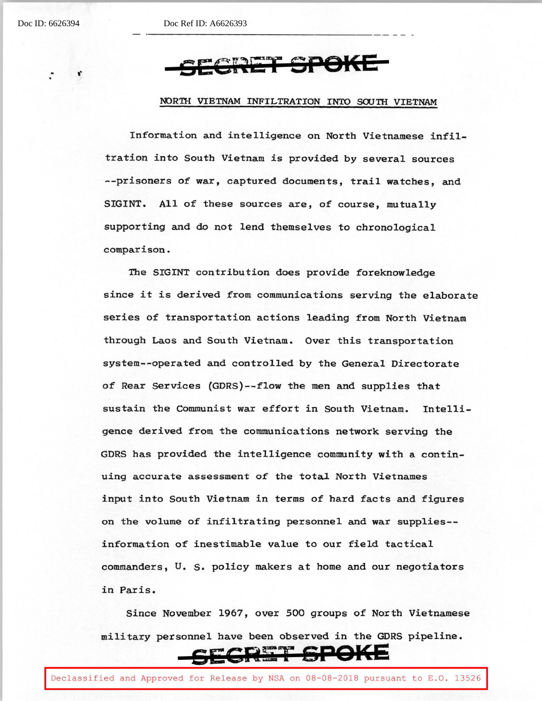Doc ID: 6626394 Doc Ref ID: A6626393

## ,· **GEGliriT SPOl<E**

## NORTH VIETNAM INFILTRATION INTO SOUTH VIETNAM

Information and intelligence on North Vietnamese infiltration into South Vietnam is provided by several sources --prisoners of war, captured documents, trail watches, and SIGINT. All of these sources are, of course, mutually supporting and do not lend themselves to chronological comparison.

The SIGINT contribution does provide foreknowledge since it is derived from communications serving the elaborate series of transportation actions leading from North Vietnam through Laos and South Vietnam. Over this transportation system--operated and controlled by the General Directorate of Rear Services {GDRS)--flow the men and supplies that sustain the Communist war effort in South Vietnam. Intelligence derived from the communications network serving the GDRS has provided the intelligence community with a continuing accurate assessment of the total North Vietnames input into South Vietnam in terms of hard facts and figures on the volume of infiltrating personnel and war supplies- information of inestimable value to our field tactical commanders, U. s. policy makers at home and our negotiators in Paris.

Since November 1967, over 500 groups of North Vietnamese military personnel have been observed in the GDRS pipeline.

## **&EGRS:T SPOKE**

Declassified and Approved for Release by NSA on 08-08-2018 pursuant to E.O. 13526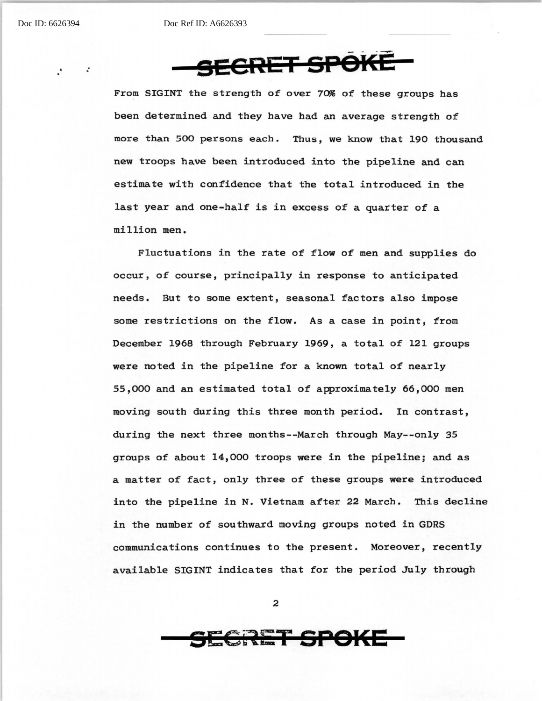Doc ID: 6626394 Doc Ref ID: A6626393

**SECRET gp()l(E** 

From SIGINT the strength of over 70% of these groups has been determined and they have had an average strength of more than 500 persons each. Thus, we know that 190 thousand new troops have been introduced into the pipeline and can estimate with confidence that the total introduced in the last year and one-half is in excess of a quarter of a million men.

Fluctuations in the rate *of* flow of men and supplies do occur, of course, principally in response to anticipated needs. But to some extent, seasonal factors also impose some restrictions on the flow. As a case in point, from December 1968 through February 1969, a total of 121 groups were noted in the pipeline for a known total *of* nearly 55,000 and an estimated total of approximately 66,000 men moving south during this three month period. In contrast, during the next three months--March through May--only 35 groups of about 14,000 troops were in the pipeline; and as a matter of fact, only three of these groups were introduced into the pipeline in N. Vietnam after 22 March. This decline in the number of southward moving groups noted in GDRS communications continues to the present. Moreover, recently available SIGINT indicates that for the period July through

2